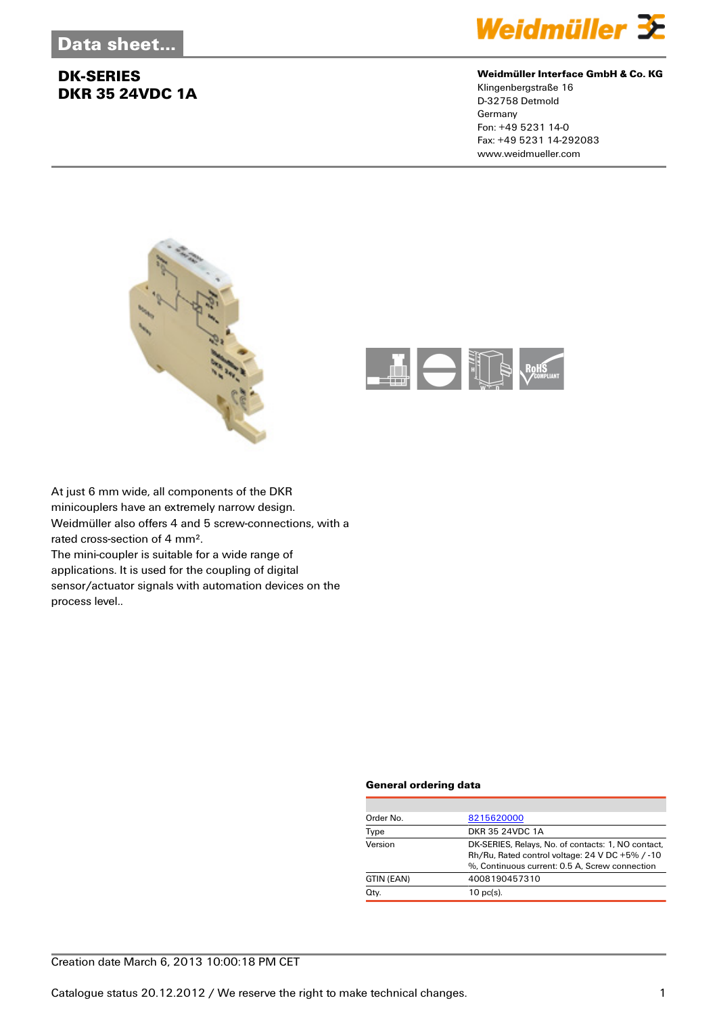

#### **Weidmüller Interface GmbH & Co. KG**

Klingenbergstraße 16 D-32758 Detmold Germany Fon: +49 5231 14-0 Fax: +49 5231 14-292083 www.weidmueller.com





At just 6 mm wide, all components of the DKR minicouplers have an extremely narrow design. Weidmüller also offers 4 and 5 screw-connections, with a rated cross-section of 4 mm². The mini-coupler is suitable for a wide range of

applications. It is used for the coupling of digital sensor/actuator signals with automation devices on the process level..

### **General ordering data**

| Order No.  | 8215620000                                                                                                                                              |
|------------|---------------------------------------------------------------------------------------------------------------------------------------------------------|
| Type       | DKR 35 24VDC 1A                                                                                                                                         |
| Version    | DK-SERIES, Relays, No. of contacts: 1, NO contact,<br>Rh/Ru, Rated control voltage: 24 V DC +5% / -10<br>%, Continuous current: 0.5 A, Screw connection |
| GTIN (EAN) | 4008190457310                                                                                                                                           |
| Qty.       | $10$ pc(s).                                                                                                                                             |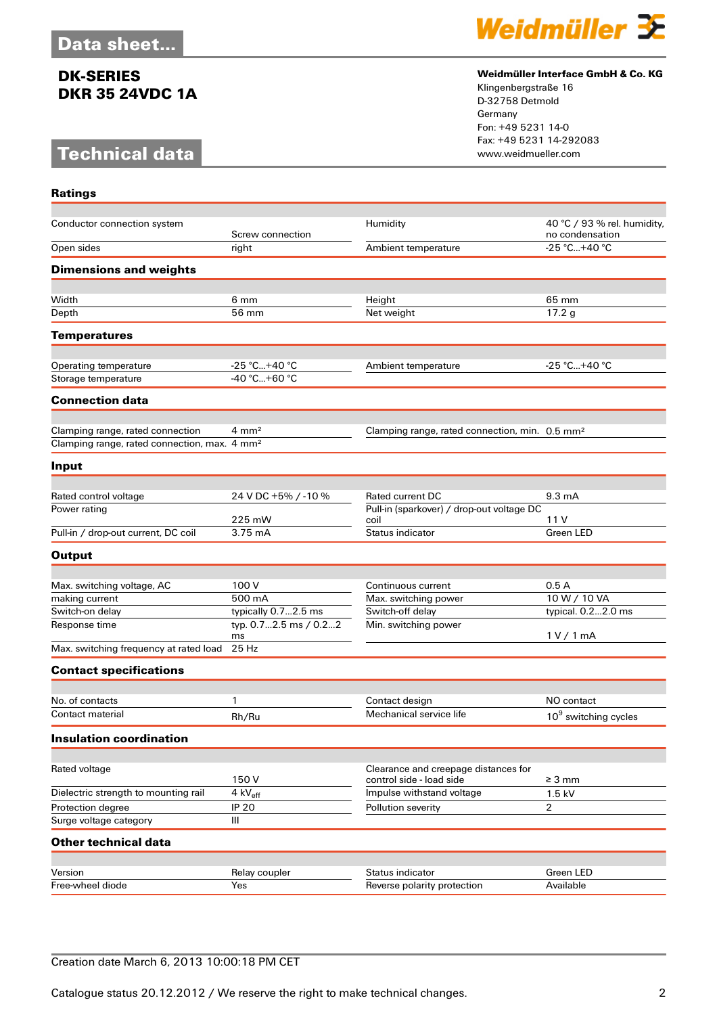# **Technical data**

**Ratings**



#### **Weidmüller Interface GmbH & Co. KG**

Klingenbergstraße 16 D-32758 Detmold Germany Fon: +49 5231 14-0 Fax: +49 5231 14-292083

| Conductor connection system                              |                             | Humidity                                                   | 40 °C / 93 % rel. humidity,      |
|----------------------------------------------------------|-----------------------------|------------------------------------------------------------|----------------------------------|
|                                                          | Screw connection            |                                                            | no condensation                  |
| Open sides                                               | right                       | Ambient temperature                                        | -25 °C+40 °C                     |
| <b>Dimensions and weights</b>                            |                             |                                                            |                                  |
|                                                          |                             |                                                            |                                  |
| Width                                                    | 6 mm                        | Height                                                     | 65 mm                            |
| Depth                                                    | 56 mm                       | Net weight                                                 | 17.2 g                           |
| <b>Temperatures</b>                                      |                             |                                                            |                                  |
| Operating temperature                                    | $-25 °C+40 °C$              | Ambient temperature                                        | -25 °C+40 °C                     |
| Storage temperature                                      | $-40 °C + 60 °C$            |                                                            |                                  |
| <b>Connection data</b>                                   |                             |                                                            |                                  |
|                                                          |                             |                                                            |                                  |
| Clamping range, rated connection                         | $4 \, \text{mm}^2$          | Clamping range, rated connection, min. 0.5 mm <sup>2</sup> |                                  |
| Clamping range, rated connection, max. 4 mm <sup>2</sup> |                             |                                                            |                                  |
| Input                                                    |                             |                                                            |                                  |
|                                                          |                             |                                                            |                                  |
| Rated control voltage                                    | 24 V DC +5% / -10 %         | <b>Rated current DC</b>                                    | $9.3 \text{ mA}$                 |
| Power rating                                             | 225 mW                      | Pull-in (sparkover) / drop-out voltage DC<br>coil          | 11 V                             |
| Pull-in / drop-out current, DC coil                      | 3.75 mA                     | Status indicator                                           | Green LED                        |
| <b>Output</b>                                            |                             |                                                            |                                  |
|                                                          |                             |                                                            |                                  |
| Max. switching voltage, AC                               | 100 V                       | Continuous current                                         | 0.5A                             |
| making current                                           | 500 mA                      | Max. switching power                                       | 10 W / 10 VA                     |
| Switch-on delay                                          | typically 0.72.5 ms         | Switch-off delay                                           | typical. 0.22.0 ms               |
| Response time                                            | typ. 0.72.5 ms / 0.22<br>ms | Min. switching power                                       | 1 V / 1 mA                       |
| Max. switching frequency at rated load                   | 25 Hz                       |                                                            |                                  |
| <b>Contact specifications</b>                            |                             |                                                            |                                  |
|                                                          |                             |                                                            |                                  |
| No. of contacts                                          | 1                           | Contact design                                             | NO contact                       |
| Contact material                                         | Rh/Ru                       | Mechanical service life                                    | 10 <sup>9</sup> switching cycles |
| Insulation coordination                                  |                             |                                                            |                                  |
| Rated voltage                                            |                             | Clearance and creepage distances for                       |                                  |
|                                                          | 150V                        | control side - load side                                   | $\geq 3 \text{ mm}$              |
| Dielectric strength to mounting rail                     | 4 kV <sub>eff</sub>         | Impulse withstand voltage                                  | 1.5 kV                           |
| Protection degree                                        | <b>IP 20</b>                | Pollution severity                                         | $\overline{2}$                   |
| Surge voltage category                                   | III                         |                                                            |                                  |
| <b>Other technical data</b>                              |                             |                                                            |                                  |
|                                                          |                             |                                                            |                                  |
| Version                                                  | Relay coupler               | Status indicator                                           | Green LED                        |
| Free-wheel diode                                         | Yes                         | Reverse polarity protection                                | Available                        |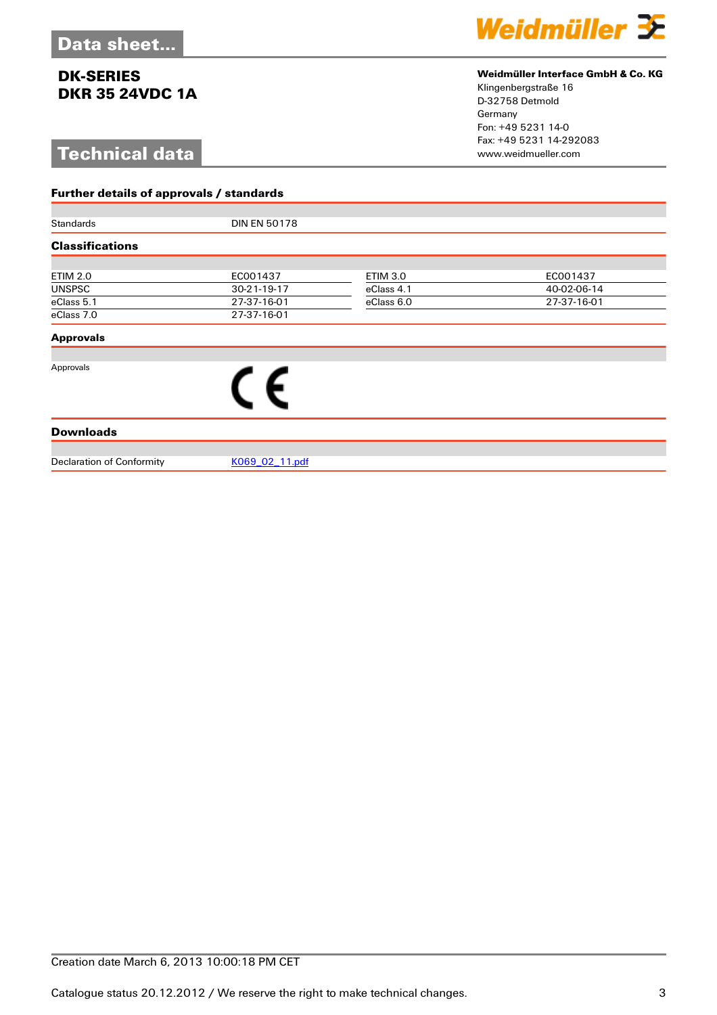# **Technical data**

**Further details of approvals / standards**



### **Weidmüller Interface GmbH & Co. KG**

Klingenbergstraße 16 D-32758 Detmold Germany Fon: +49 5231 14-0 Fax: +49 5231 14-292083

| Standards                        | <b>DIN EN 50178</b> |                 |             |  |  |
|----------------------------------|---------------------|-----------------|-------------|--|--|
| <b>Classifications</b>           |                     |                 |             |  |  |
|                                  |                     |                 |             |  |  |
| <b>ETIM 2.0</b>                  | EC001437            | <b>ETIM 3.0</b> | EC001437    |  |  |
| <b>UNSPSC</b>                    | 30-21-19-17         | eClass 4.1      | 40-02-06-14 |  |  |
| eClass 5.1                       | 27-37-16-01         | eClass 6.0      | 27-37-16-01 |  |  |
| eClass 7.0                       | 27-37-16-01         |                 |             |  |  |
| <b>Approvals</b>                 |                     |                 |             |  |  |
| Approvals                        |                     |                 |             |  |  |
|                                  | ( F                 |                 |             |  |  |
|                                  |                     |                 |             |  |  |
|                                  |                     |                 |             |  |  |
| <b>Downloads</b>                 |                     |                 |             |  |  |
|                                  |                     |                 |             |  |  |
| <b>Declaration of Conformity</b> | K069 02 11.pdf      |                 |             |  |  |
|                                  |                     |                 |             |  |  |